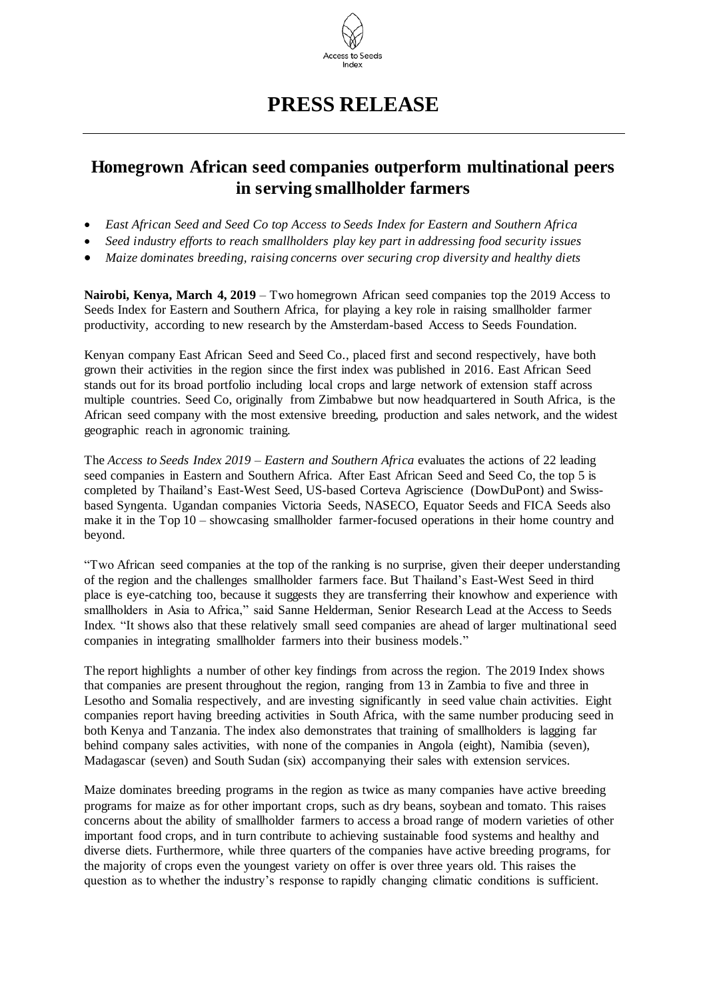

## **PRESS RELEASE**

## **Homegrown African seed companies outperform multinational peers in serving smallholder farmers**

- *East African Seed and Seed Co top Access to Seeds Index for Eastern and Southern Africa*
- *Seed industry efforts to reach smallholders play key part in addressing food security issues*
- *Maize dominates breeding, raising concerns over securing crop diversity and healthy diets*

**Nairobi, Kenya, March 4, 2019** – Two homegrown African seed companies top the 2019 Access to Seeds Index for Eastern and Southern Africa, for playing a key role in raising smallholder farmer productivity, according to new research by the Amsterdam-based Access to Seeds Foundation.

Kenyan company East African Seed and Seed Co., placed first and second respectively, have both grown their activities in the region since the first index was published in 2016. East African Seed stands out for its broad portfolio including local crops and large network of extension staff across multiple countries. Seed Co, originally from Zimbabwe but now headquartered in South Africa, is the African seed company with the most extensive breeding, production and sales network, and the widest geographic reach in agronomic training.

The *Access to Seeds Index 2019 – Eastern and Southern Africa* evaluates the actions of 22 leading seed companies in Eastern and Southern Africa. After East African Seed and Seed Co, the top 5 is completed by Thailand's East-West Seed, US-based Corteva Agriscience (DowDuPont) and Swissbased Syngenta. Ugandan companies Victoria Seeds, NASECO, Equator Seeds and FICA Seeds also make it in the Top 10 – showcasing smallholder farmer-focused operations in their home country and beyond.

"Two African seed companies at the top of the ranking is no surprise, given their deeper understanding of the region and the challenges smallholder farmers face. But Thailand's East-West Seed in third place is eye-catching too, because it suggests they are transferring their knowhow and experience with smallholders in Asia to Africa," said Sanne Helderman, Senior Research Lead at the Access to Seeds Index. "It shows also that these relatively small seed companies are ahead of larger multinational seed companies in integrating smallholder farmers into their business models."

The report highlights a number of other key findings from across the region. The 2019 Index shows that companies are present throughout the region, ranging from 13 in Zambia to five and three in Lesotho and Somalia respectively, and are investing significantly in seed value chain activities. Eight companies report having breeding activities in South Africa, with the same number producing seed in both Kenya and Tanzania. The index also demonstrates that training of smallholders is lagging far behind company sales activities, with none of the companies in Angola (eight), Namibia (seven), Madagascar (seven) and South Sudan (six) accompanying their sales with extension services.

Maize dominates breeding programs in the region as twice as many companies have active breeding programs for maize as for other important crops, such as dry beans, soybean and tomato. This raises concerns about the ability of smallholder farmers to access a broad range of modern varieties of other important food crops, and in turn contribute to achieving sustainable food systems and healthy and diverse diets. Furthermore, while three quarters of the companies have active breeding programs, for the majority of crops even the youngest variety on offer is over three years old. This raises the question as to whether the industry's response to rapidly changing climatic conditions is sufficient.